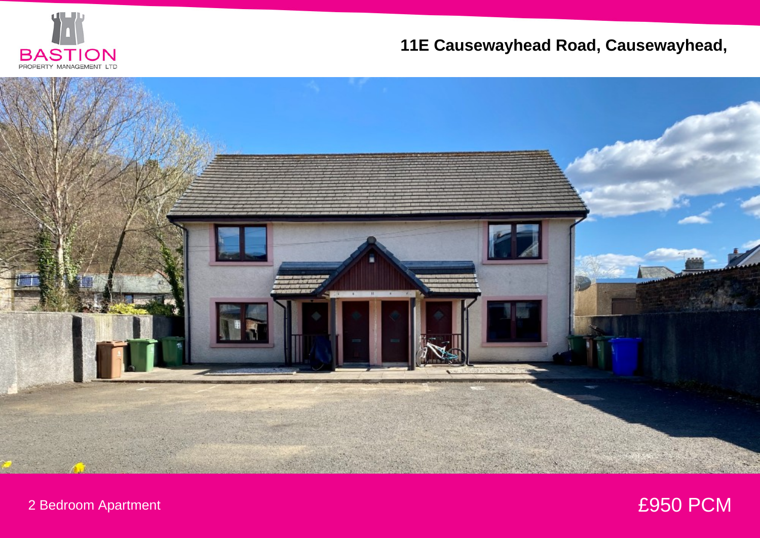

## **11E Causewayhead Road, Causewayhead,**



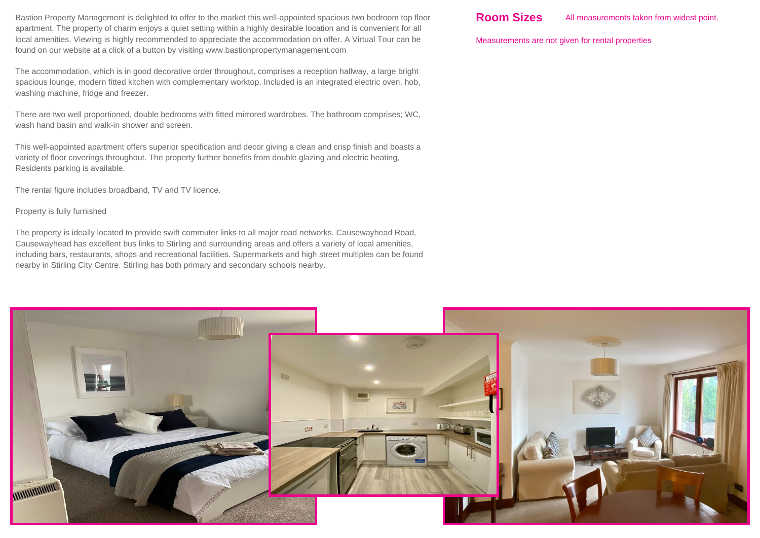Bastion Property Management is delighted to offer to the market this well-appointed spacious two bedroom top floor apartment. The property of charm enjoys a quiet setting within a highly desirable location and is convenient for all local amenities. Viewing is highly recommended to appreciate the accommodation on offer. A Virtual Tour can be found on our website at a click of a button by visiting www.bastionpropertymanagement.com

The accommodation, which is in good decorative order throughout, comprises a reception hallway, a large bright spacious lounge, modern fitted kitchen with complementary worktop. Included is an integrated electric oven, hob, washing machine, fridge and freezer.

There are two well proportioned, double bedrooms with fitted mirrored wardrobes. The bathroom comprises; WC, wash hand basin and walk-in shower and screen.

This well-appointed apartment offers superior specification and decor giving a clean and crisp finish and boasts a variety of floor coverings throughout. The property further benefits from double glazing and electric heating, Residents parking is available.

The rental figure includes broadband, TV and TV licence.

Property is fully furnished

The property is ideally located to provide swift commuter links to all major road networks. Causewayhead Road, Causewayhead has excellent bus links to Stirling and surrounding areas and offers a variety of local amenities, including bars, restaurants, shops and recreational facilities. Supermarkets and high street multiples can be found nearby in Stirling City Centre. Stirling has both primary and secondary schools nearby.

Measurements are not given for rental properties